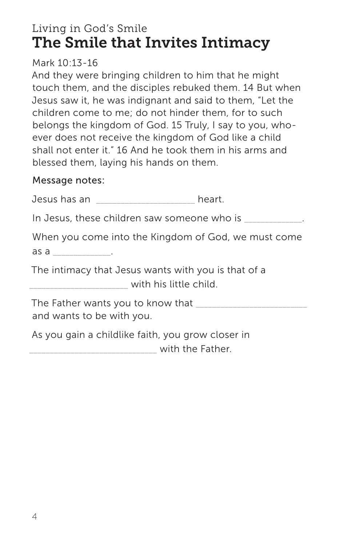# Living in God's Smile The Smile that Invites Intimacy

Mark 10:13-16

And they were bringing children to him that he might touch them, and the disciples rebuked them. 14 But when Jesus saw it, he was indignant and said to them, "Let the children come to me; do not hinder them, for to such belongs the kingdom of God. 15 Truly, I say to you, whoever does not receive the kingdom of God like a child shall not enter it." 16 And he took them in his arms and blessed them, laying his hands on them.

## Message notes:

Jesus has an \_\_\_\_\_\_\_\_\_\_\_\_\_\_\_\_\_\_\_\_\_\_\_\_ heart.

In Jesus, these children saw someone who is \_\_\_\_\_\_\_\_\_\_\_\_.

When you come into the Kingdom of God, we must come as a  $\qquad \qquad \ldots$ 

The intimacy that Jesus wants with you is that of a

\_\_\_\_\_\_\_\_\_\_\_\_\_\_\_\_\_\_\_\_\_\_\_\_ with his little child.

The Father wants you to know that \_\_\_\_\_\_\_\_\_\_\_\_\_\_\_\_\_\_\_\_\_\_\_\_\_\_\_ and wants to be with you.

As you gain a childlike faith, you grow closer in with the Father.